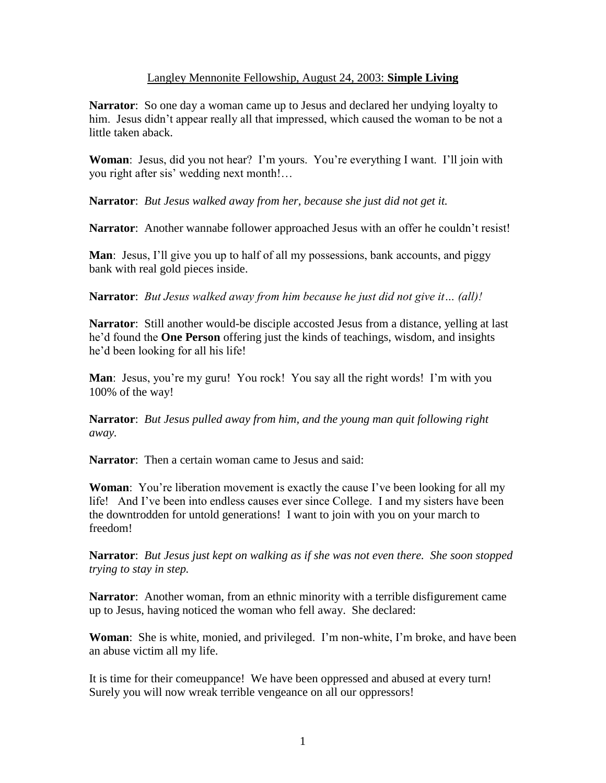## Langley Mennonite Fellowship, August 24, 2003: **Simple Living**

**Narrator**: So one day a woman came up to Jesus and declared her undying loyalty to him. Jesus didn't appear really all that impressed, which caused the woman to be not a little taken aback.

**Woman**: Jesus, did you not hear? I'm yours. You're everything I want. I'll join with you right after sis' wedding next month!…

**Narrator**: *But Jesus walked away from her, because she just did not get it.*

**Narrator**: Another wannabe follower approached Jesus with an offer he couldn't resist!

**Man**: Jesus, I'll give you up to half of all my possessions, bank accounts, and piggy bank with real gold pieces inside.

**Narrator**: *But Jesus walked away from him because he just did not give it… (all)!*

**Narrator**: Still another would-be disciple accosted Jesus from a distance, yelling at last he'd found the **One Person** offering just the kinds of teachings, wisdom, and insights he'd been looking for all his life!

**Man**: Jesus, you're my guru! You rock! You say all the right words! I'm with you 100% of the way!

**Narrator**: *But Jesus pulled away from him, and the young man quit following right away.*

**Narrator**: Then a certain woman came to Jesus and said:

**Woman**: You're liberation movement is exactly the cause I've been looking for all my life! And I've been into endless causes ever since College. I and my sisters have been the downtrodden for untold generations! I want to join with you on your march to freedom!

**Narrator**: *But Jesus just kept on walking as if she was not even there. She soon stopped trying to stay in step.*

**Narrator**: Another woman, from an ethnic minority with a terrible disfigurement came up to Jesus, having noticed the woman who fell away. She declared:

**Woman**: She is white, monied, and privileged. I'm non-white, I'm broke, and have been an abuse victim all my life.

It is time for their comeuppance! We have been oppressed and abused at every turn! Surely you will now wreak terrible vengeance on all our oppressors!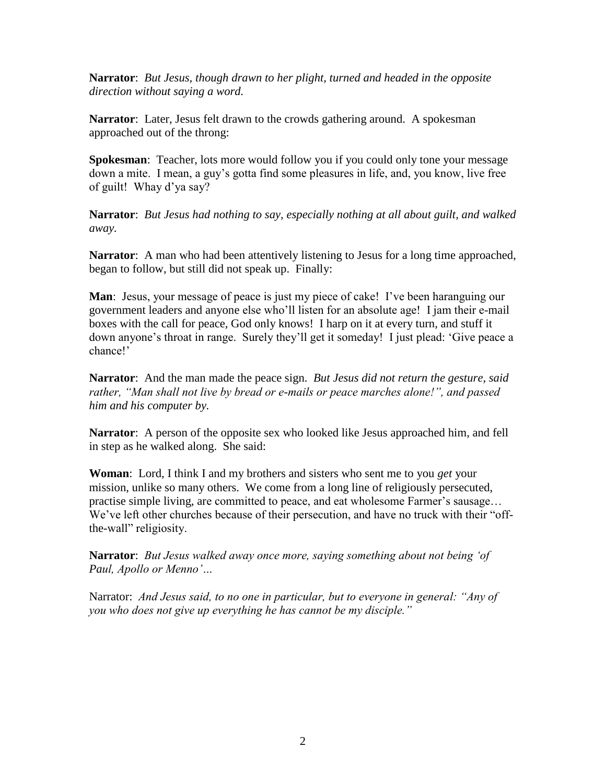**Narrator**: *But Jesus, though drawn to her plight, turned and headed in the opposite direction without saying a word.*

**Narrator**: Later, Jesus felt drawn to the crowds gathering around. A spokesman approached out of the throng:

**Spokesman**: Teacher, lots more would follow you if you could only tone your message down a mite. I mean, a guy's gotta find some pleasures in life, and, you know, live free of guilt! Whay d'ya say?

**Narrator**: *But Jesus had nothing to say, especially nothing at all about guilt, and walked away.*

**Narrator**: A man who had been attentively listening to Jesus for a long time approached, began to follow, but still did not speak up. Finally:

**Man**: Jesus, your message of peace is just my piece of cake! I've been haranguing our government leaders and anyone else who'll listen for an absolute age! I jam their e-mail boxes with the call for peace, God only knows! I harp on it at every turn, and stuff it down anyone's throat in range. Surely they'll get it someday! I just plead: 'Give peace a chance!'

**Narrator**: And the man made the peace sign. *But Jesus did not return the gesture, said rather, "Man shall not live by bread or e-mails or peace marches alone!", and passed him and his computer by.*

**Narrator**: A person of the opposite sex who looked like Jesus approached him, and fell in step as he walked along. She said:

**Woman**: Lord, I think I and my brothers and sisters who sent me to you *get* your mission, unlike so many others. We come from a long line of religiously persecuted, practise simple living, are committed to peace, and eat wholesome Farmer's sausage… We've left other churches because of their persecution, and have no truck with their "offthe-wall" religiosity.

**Narrator**: *But Jesus walked away once more, saying something about not being 'of Paul, Apollo or Menno'…*

Narrator: *And Jesus said, to no one in particular, but to everyone in general: "Any of you who does not give up everything he has cannot be my disciple."*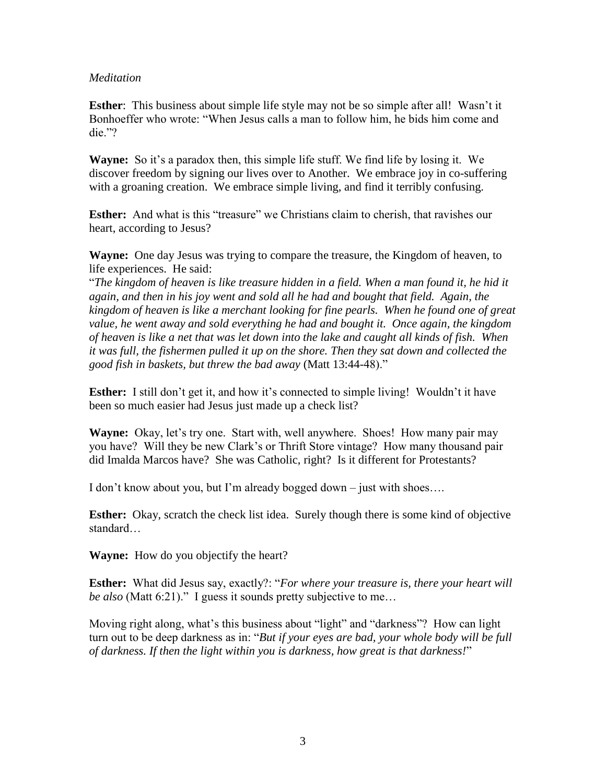## *Meditation*

**Esther:** This business about simple life style may not be so simple after all! Wasn't it Bonhoeffer who wrote: "When Jesus calls a man to follow him, he bids him come and die."?

**Wayne:** So it's a paradox then, this simple life stuff. We find life by losing it. We discover freedom by signing our lives over to Another. We embrace joy in co-suffering with a groaning creation. We embrace simple living, and find it terribly confusing.

**Esther:** And what is this "treasure" we Christians claim to cherish, that ravishes our heart, according to Jesus?

**Wayne:** One day Jesus was trying to compare the treasure, the Kingdom of heaven, to life experiences. He said:

"*The kingdom of heaven is like treasure hidden in a field. When a man found it, he hid it again, and then in his joy went and sold all he had and bought that field. Again, the kingdom of heaven is like a merchant looking for fine pearls. When he found one of great value, he went away and sold everything he had and bought it. Once again, the kingdom of heaven is like a net that was let down into the lake and caught all kinds of fish. When it was full, the fishermen pulled it up on the shore. Then they sat down and collected the good fish in baskets, but threw the bad away* (Matt 13:44-48)."

**Esther:** I still don't get it, and how it's connected to simple living! Wouldn't it have been so much easier had Jesus just made up a check list?

**Wayne:** Okay, let's try one. Start with, well anywhere. Shoes! How many pair may you have? Will they be new Clark's or Thrift Store vintage? How many thousand pair did Imalda Marcos have? She was Catholic, right? Is it different for Protestants?

I don't know about you, but I'm already bogged down – just with shoes….

**Esther:** Okay, scratch the check list idea. Surely though there is some kind of objective standard…

**Wayne:** How do you objectify the heart?

**Esther:** What did Jesus say, exactly?: "*For where your treasure is, there your heart will be also* (Matt 6:21)." I guess it sounds pretty subjective to me…

Moving right along, what's this business about "light" and "darkness"? How can light turn out to be deep darkness as in: "*But if your eyes are bad, your whole body will be full of darkness. If then the light within you is darkness, how great is that darkness!*"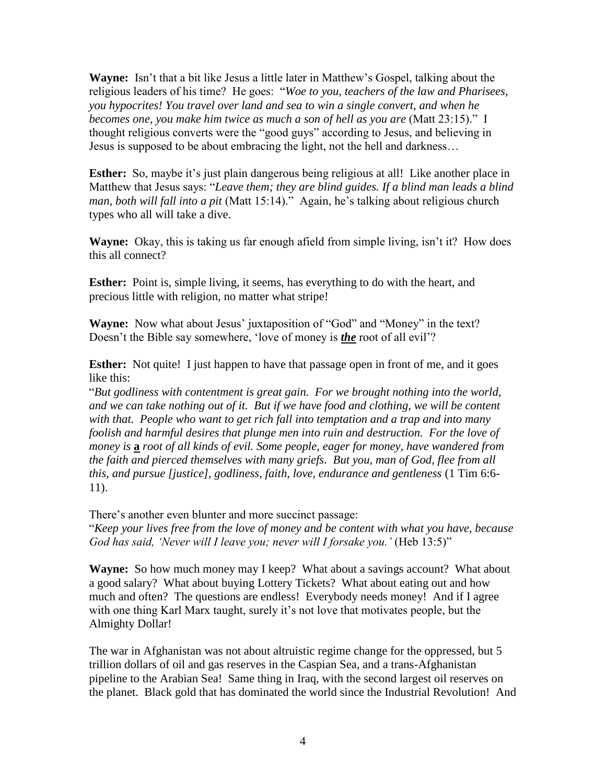**Wayne:** Isn't that a bit like Jesus a little later in Matthew's Gospel, talking about the religious leaders of his time? He goes: "*Woe to you, teachers of the law and Pharisees, you hypocrites! You travel over land and sea to win a single convert, and when he becomes one, you make him twice as much a son of hell as you are* (Matt 23:15)." I thought religious converts were the "good guys" according to Jesus, and believing in Jesus is supposed to be about embracing the light, not the hell and darkness…

**Esther:** So, maybe it's just plain dangerous being religious at all! Like another place in Matthew that Jesus says: "*Leave them; they are blind guides. If a blind man leads a blind man, both will fall into a pit* (Matt 15:14)." Again, he's talking about religious church types who all will take a dive.

**Wayne:** Okay, this is taking us far enough afield from simple living, isn't it? How does this all connect?

**Esther:** Point is, simple living, it seems, has everything to do with the heart, and precious little with religion, no matter what stripe!

**Wayne:** Now what about Jesus' juxtaposition of "God" and "Money" in the text? Doesn't the Bible say somewhere, 'love of money is *the* root of all evil'?

**Esther:** Not quite! I just happen to have that passage open in front of me, and it goes like this:

"*But godliness with contentment is great gain. For we brought nothing into the world, and we can take nothing out of it. But if we have food and clothing, we will be content with that. People who want to get rich fall into temptation and a trap and into many foolish and harmful desires that plunge men into ruin and destruction. For the love of money is* **a** *root of all kinds of evil. Some people, eager for money, have wandered from the faith and pierced themselves with many griefs. But you, man of God, flee from all this, and pursue [justice], godliness, faith, love, endurance and gentleness* (1 Tim 6:6- 11).

There's another even blunter and more succinct passage:

"*Keep your lives free from the love of money and be content with what you have, because*  God has said, *'Never will I leave you; never will I forsake you.'* (Heb 13:5)"

**Wayne:** So how much money may I keep? What about a savings account? What about a good salary? What about buying Lottery Tickets? What about eating out and how much and often? The questions are endless! Everybody needs money! And if I agree with one thing Karl Marx taught, surely it's not love that motivates people, but the Almighty Dollar!

The war in Afghanistan was not about altruistic regime change for the oppressed, but 5 trillion dollars of oil and gas reserves in the Caspian Sea, and a trans-Afghanistan pipeline to the Arabian Sea! Same thing in Iraq, with the second largest oil reserves on the planet. Black gold that has dominated the world since the Industrial Revolution! And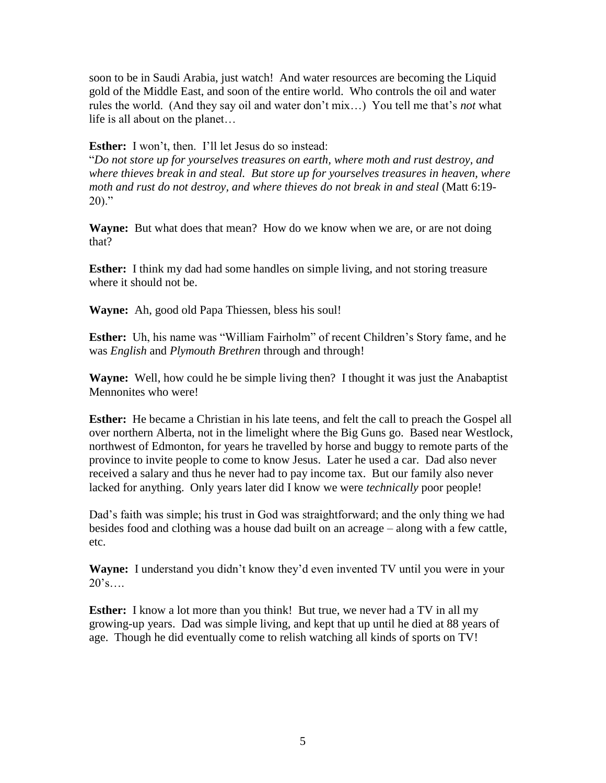soon to be in Saudi Arabia, just watch! And water resources are becoming the Liquid gold of the Middle East, and soon of the entire world. Who controls the oil and water rules the world. (And they say oil and water don't mix…) You tell me that's *not* what life is all about on the planet…

**Esther:** I won't, then. I'll let Jesus do so instead:

"*Do not store up for yourselves treasures on earth, where moth and rust destroy, and where thieves break in and steal. But store up for yourselves treasures in heaven, where moth and rust do not destroy, and where thieves do not break in and steal* (Matt 6:19-  $20$ )."

**Wayne:** But what does that mean? How do we know when we are, or are not doing that?

**Esther:** I think my dad had some handles on simple living, and not storing treasure where it should not be.

**Wayne:** Ah, good old Papa Thiessen, bless his soul!

**Esther:** Uh, his name was "William Fairholm" of recent Children's Story fame, and he was *English* and *Plymouth Brethren* through and through!

**Wayne:** Well, how could he be simple living then? I thought it was just the Anabaptist Mennonites who were!

**Esther:** He became a Christian in his late teens, and felt the call to preach the Gospel all over northern Alberta, not in the limelight where the Big Guns go. Based near Westlock, northwest of Edmonton, for years he travelled by horse and buggy to remote parts of the province to invite people to come to know Jesus. Later he used a car. Dad also never received a salary and thus he never had to pay income tax. But our family also never lacked for anything. Only years later did I know we were *technically* poor people!

Dad's faith was simple; his trust in God was straightforward; and the only thing we had besides food and clothing was a house dad built on an acreage – along with a few cattle, etc.

**Wayne:** I understand you didn't know they'd even invented TV until you were in your  $20's...$ 

**Esther:** I know a lot more than you think! But true, we never had a TV in all my growing-up years. Dad was simple living, and kept that up until he died at 88 years of age. Though he did eventually come to relish watching all kinds of sports on TV!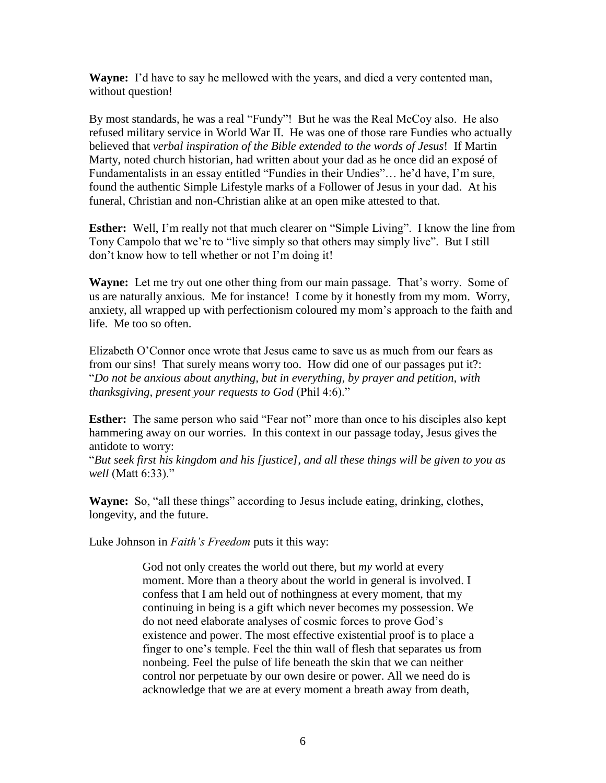**Wayne:** I'd have to say he mellowed with the years, and died a very contented man, without question!

By most standards, he was a real "Fundy"! But he was the Real McCoy also. He also refused military service in World War II. He was one of those rare Fundies who actually believed that *verbal inspiration of the Bible extended to the words of Jesus*! If Martin Marty, noted church historian, had written about your dad as he once did an exposé of Fundamentalists in an essay entitled "Fundies in their Undies"… he'd have, I'm sure, found the authentic Simple Lifestyle marks of a Follower of Jesus in your dad. At his funeral, Christian and non-Christian alike at an open mike attested to that.

**Esther:** Well, I'm really not that much clearer on "Simple Living". I know the line from Tony Campolo that we're to "live simply so that others may simply live". But I still don't know how to tell whether or not I'm doing it!

**Wayne:** Let me try out one other thing from our main passage. That's worry. Some of us are naturally anxious. Me for instance! I come by it honestly from my mom. Worry, anxiety, all wrapped up with perfectionism coloured my mom's approach to the faith and life. Me too so often.

Elizabeth O'Connor once wrote that Jesus came to save us as much from our fears as from our sins! That surely means worry too. How did one of our passages put it?: "*Do not be anxious about anything, but in everything, by prayer and petition, with thanksgiving, present your requests to God* (Phil 4:6)."

**Esther:** The same person who said "Fear not" more than once to his disciples also kept hammering away on our worries. In this context in our passage today, Jesus gives the antidote to worry:

"*But seek first his kingdom and his [justice], and all these things will be given to you as well* (Matt 6:33)."

**Wayne:** So, "all these things" according to Jesus include eating, drinking, clothes, longevity, and the future.

Luke Johnson in *Faith's Freedom* puts it this way:

God not only creates the world out there, but *my* world at every moment. More than a theory about the world in general is involved. I confess that I am held out of nothingness at every moment, that my continuing in being is a gift which never becomes my possession. We do not need elaborate analyses of cosmic forces to prove God's existence and power. The most effective existential proof is to place a finger to one's temple. Feel the thin wall of flesh that separates us from nonbeing. Feel the pulse of life beneath the skin that we can neither control nor perpetuate by our own desire or power. All we need do is acknowledge that we are at every moment a breath away from death,